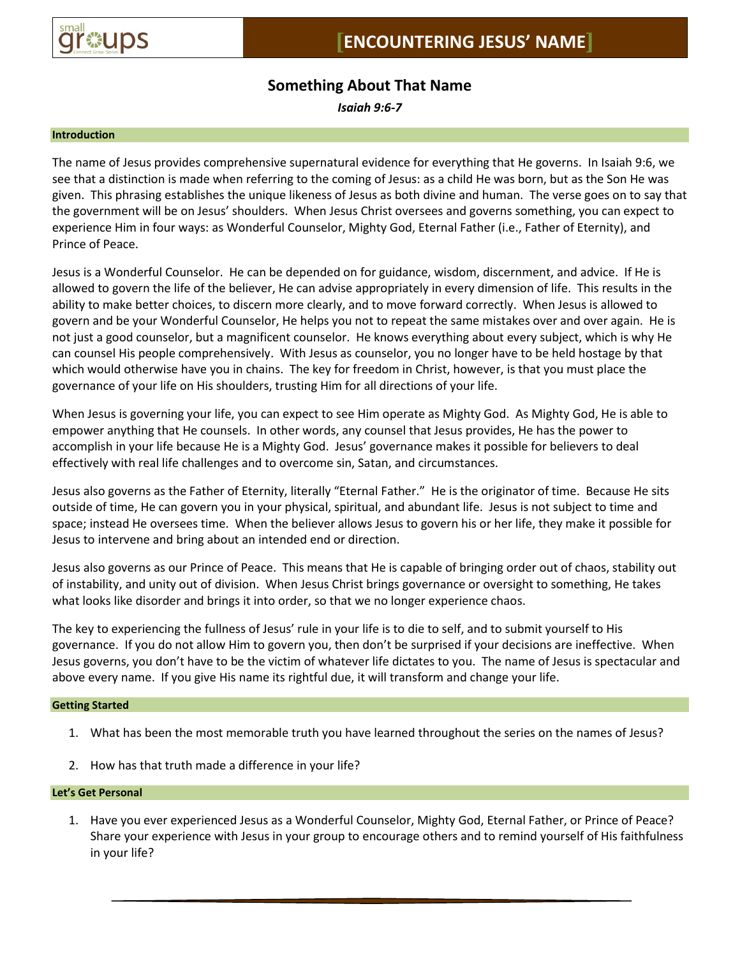

# **Something About That Name**

*Isaiah 9:6-7*

### **Introduction**

The name of Jesus provides comprehensive supernatural evidence for everything that He governs. In Isaiah 9:6, we see that a distinction is made when referring to the coming of Jesus: as a child He was born, but as the Son He was given. This phrasing establishes the unique likeness of Jesus as both divine and human. The verse goes on to say that the government will be on Jesus' shoulders. When Jesus Christ oversees and governs something, you can expect to experience Him in four ways: as Wonderful Counselor, Mighty God, Eternal Father (i.e., Father of Eternity), and Prince of Peace.

Jesus is a Wonderful Counselor. He can be depended on for guidance, wisdom, discernment, and advice. If He is allowed to govern the life of the believer, He can advise appropriately in every dimension of life. This results in the ability to make better choices, to discern more clearly, and to move forward correctly. When Jesus is allowed to govern and be your Wonderful Counselor, He helps you not to repeat the same mistakes over and over again. He is not just a good counselor, but a magnificent counselor. He knows everything about every subject, which is why He can counsel His people comprehensively. With Jesus as counselor, you no longer have to be held hostage by that which would otherwise have you in chains. The key for freedom in Christ, however, is that you must place the governance of your life on His shoulders, trusting Him for all directions of your life.

When Jesus is governing your life, you can expect to see Him operate as Mighty God. As Mighty God, He is able to empower anything that He counsels. In other words, any counsel that Jesus provides, He has the power to accomplish in your life because He is a Mighty God. Jesus' governance makes it possible for believers to deal effectively with real life challenges and to overcome sin, Satan, and circumstances.

Jesus also governs as the Father of Eternity, literally "Eternal Father." He is the originator of time. Because He sits outside of time, He can govern you in your physical, spiritual, and abundant life. Jesus is not subject to time and space; instead He oversees time. When the believer allows Jesus to govern his or her life, they make it possible for Jesus to intervene and bring about an intended end or direction.

Jesus also governs as our Prince of Peace. This means that He is capable of bringing order out of chaos, stability out of instability, and unity out of division. When Jesus Christ brings governance or oversight to something, He takes what looks like disorder and brings it into order, so that we no longer experience chaos.

The key to experiencing the fullness of Jesus' rule in your life is to die to self, and to submit yourself to His governance. If you do not allow Him to govern you, then don't be surprised if your decisions are ineffective. When Jesus governs, you don't have to be the victim of whatever life dictates to you. The name of Jesus is spectacular and above every name. If you give His name its rightful due, it will transform and change your life.

# **Getting Started**

- 1. What has been the most memorable truth you have learned throughout the series on the names of Jesus?
- 2. How has that truth made a difference in your life?

### **Let's Get Personal**

1. Have you ever experienced Jesus as a Wonderful Counselor, Mighty God, Eternal Father, or Prince of Peace? Share your experience with Jesus in your group to encourage others and to remind yourself of His faithfulness in your life?